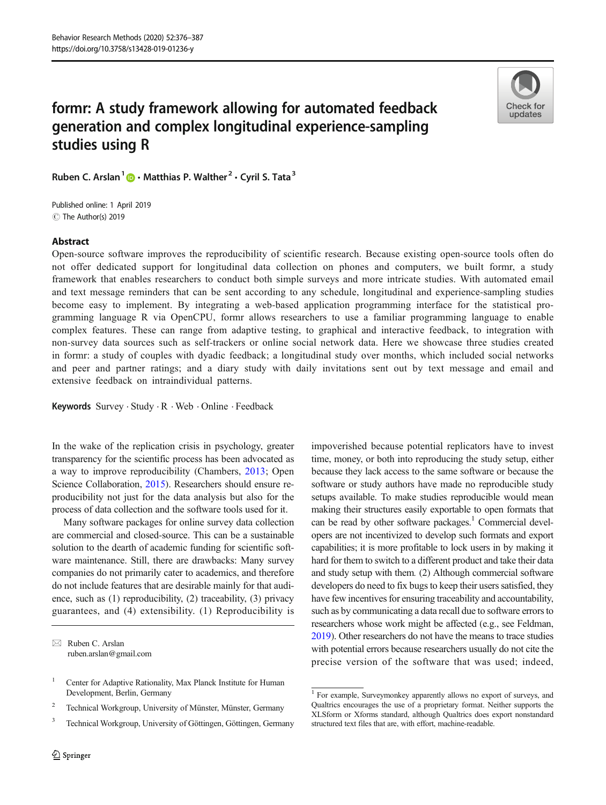# formr: A study framework allowing for automated feedback generation and complex longitudinal experience-sampling studies using R



Ruben C. Arslan<sup>1</sup>  $\bullet$  · Matthias P. Walther<sup>2</sup> · Cyril S. Tata<sup>3</sup>

C The Author(s) 2019 Published online: 1 April 2019

#### Abstract

Open-source software improves the reproducibility of scientific research. Because existing open-source tools often do not offer dedicated support for longitudinal data collection on phones and computers, we built formr, a study framework that enables researchers to conduct both simple surveys and more intricate studies. With automated email and text message reminders that can be sent according to any schedule, longitudinal and experience-sampling studies become easy to implement. By integrating a web-based application programming interface for the statistical programming language R via OpenCPU, formr allows researchers to use a familiar programming language to enable complex features. These can range from adaptive testing, to graphical and interactive feedback, to integration with non-survey data sources such as self-trackers or online social network data. Here we showcase three studies created in formr: a study of couples with dyadic feedback; a longitudinal study over months, which included social networks and peer and partner ratings; and a diary study with daily invitations sent out by text message and email and extensive feedback on intraindividual patterns.

Keywords Survey · Study · R · Web · Online · Feedback

In the wake of the replication crisis in psychology, greater transparency for the scientific process has been advocated as a way to improve reproducibility (Chambers, [2013](#page-10-0); Open Science Collaboration, [2015](#page-11-0)). Researchers should ensure reproducibility not just for the data analysis but also for the process of data collection and the software tools used for it.

Many software packages for online survey data collection are commercial and closed-source. This can be a sustainable solution to the dearth of academic funding for scientific software maintenance. Still, there are drawbacks: Many survey companies do not primarily cater to academics, and therefore do not include features that are desirable mainly for that audience, such as (1) reproducibility, (2) traceability, (3) privacy guarantees, and (4) extensibility. (1) Reproducibility is

 $\boxtimes$  Ruben C. Arslan [ruben.arslan@gmail.com](mailto:ruben.arslan@gmail.com)

<sup>3</sup> Technical Workgroup, University of Göttingen, Göttingen, Germany

impoverished because potential replicators have to invest time, money, or both into reproducing the study setup, either because they lack access to the same software or because the software or study authors have made no reproducible study setups available. To make studies reproducible would mean making their structures easily exportable to open formats that can be read by other software packages.<sup>1</sup> Commercial developers are not incentivized to develop such formats and export capabilities; it is more profitable to lock users in by making it hard for them to switch to a different product and take their data and study setup with them. (2) Although commercial software developers do need to fix bugs to keep their users satisfied, they have few incentives for ensuring traceability and accountability, such as by communicating a data recall due to software errors to researchers whose work might be affected (e.g., see Feldman, [2019](#page-11-0)). Other researchers do not have the means to trace studies with potential errors because researchers usually do not cite the precise version of the software that was used; indeed,

<sup>&</sup>lt;sup>1</sup> Center for Adaptive Rationality, Max Planck Institute for Human Development, Berlin, Germany

<sup>&</sup>lt;sup>2</sup> Technical Workgroup, University of Münster, Münster, Germany

<sup>1</sup> For example, Surveymonkey apparently allows no export of surveys, and Qualtrics encourages the use of a proprietary format. Neither supports the XLSform or Xforms standard, although Qualtrics does export nonstandard structured text files that are, with effort, machine-readable.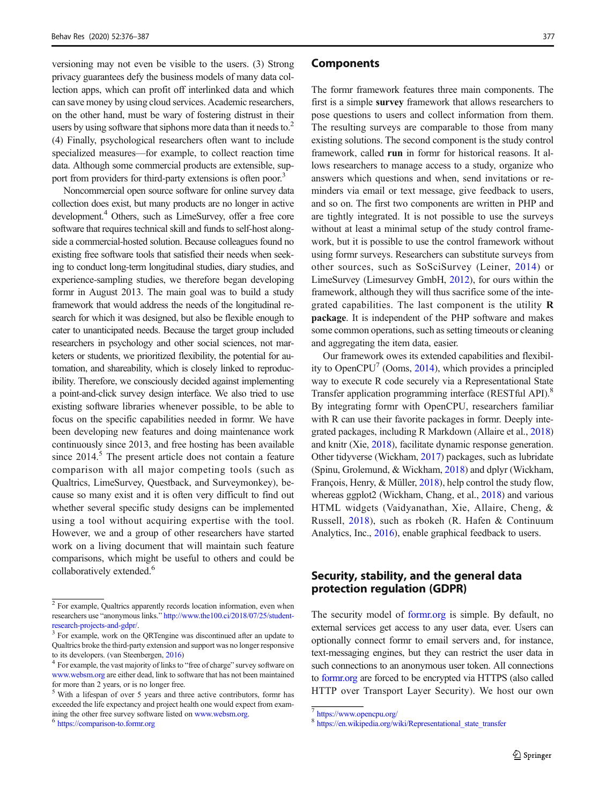versioning may not even be visible to the users. (3) Strong privacy guarantees defy the business models of many data collection apps, which can profit off interlinked data and which can save money by using cloud services. Academic researchers, on the other hand, must be wary of fostering distrust in their users by using software that siphons more data than it needs to.<sup>2</sup> (4) Finally, psychological researchers often want to include specialized measures—for example, to collect reaction time data. Although some commercial products are extensible, support from providers for third-party extensions is often poor.<sup>3</sup>

Noncommercial open source software for online survey data collection does exist, but many products are no longer in active development.<sup>4</sup> Others, such as LimeSurvey, offer a free core software that requires technical skill and funds to self-host alongside a commercial-hosted solution. Because colleagues found no existing free software tools that satisfied their needs when seeking to conduct long-term longitudinal studies, diary studies, and experience-sampling studies, we therefore began developing formr in August 2013. The main goal was to build a study framework that would address the needs of the longitudinal research for which it was designed, but also be flexible enough to cater to unanticipated needs. Because the target group included researchers in psychology and other social sciences, not marketers or students, we prioritized flexibility, the potential for automation, and shareability, which is closely linked to reproducibility. Therefore, we consciously decided against implementing a point-and-click survey design interface. We also tried to use existing software libraries whenever possible, to be able to focus on the specific capabilities needed in formr. We have been developing new features and doing maintenance work continuously since 2013, and free hosting has been available since  $2014<sup>5</sup>$ . The present article does not contain a feature comparison with all major competing tools (such as Qualtrics, LimeSurvey, Questback, and Surveymonkey), because so many exist and it is often very difficult to find out whether several specific study designs can be implemented using a tool without acquiring expertise with the tool. However, we and a group of other researchers have started work on a living document that will maintain such feature comparisons, which might be useful to others and could be collaboratively extended.<sup>6</sup>

#### Components

The formr framework features three main components. The first is a simple survey framework that allows researchers to pose questions to users and collect information from them. The resulting surveys are comparable to those from many existing solutions. The second component is the study control framework, called run in formr for historical reasons. It allows researchers to manage access to a study, organize who answers which questions and when, send invitations or reminders via email or text message, give feedback to users, and so on. The first two components are written in PHP and are tightly integrated. It is not possible to use the surveys without at least a minimal setup of the study control framework, but it is possible to use the control framework without using formr surveys. Researchers can substitute surveys from other sources, such as SoSciSurvey (Leiner, [2014\)](#page-11-0) or LimeSurvey (Limesurvey GmbH, [2012\)](#page-11-0), for ours within the framework, although they will thus sacrifice some of the integrated capabilities. The last component is the utility R package. It is independent of the PHP software and makes some common operations, such as setting timeouts or cleaning and aggregating the item data, easier.

Our framework owes its extended capabilities and flexibil-ity to OpenCPU<sup>7</sup> (Ooms, [2014](#page-11-0)), which provides a principled way to execute R code securely via a Representational State Transfer application programming interface (RESTful API).<sup>8</sup> By integrating formr with OpenCPU, researchers familiar with R can use their favorite packages in formr. Deeply integrated packages, including R Markdown (Allaire et al., [2018](#page-10-0)) and knitr (Xie, [2018\)](#page-11-0), facilitate dynamic response generation. Other tidyverse (Wickham, [2017](#page-11-0)) packages, such as lubridate (Spinu, Grolemund, & Wickham, [2018\)](#page-11-0) and dplyr (Wickham, François, Henry, & Müller, [2018\)](#page-11-0), help control the study flow, whereas ggplot2 (Wickham, Chang, et al., [2018\)](#page-11-0) and various HTML widgets (Vaidyanathan, Xie, Allaire, Cheng, & Russell, [2018](#page-11-0)), such as rbokeh (R. Hafen & Continuum Analytics, Inc., [2016](#page-11-0)), enable graphical feedback to users.

# Security, stability, and the general data protection regulation (GDPR)

The security model of [formr.org](http://formr.org) is simple. By default, no external services get access to any user data, ever. Users can optionally connect formr to email servers and, for instance, text-messaging engines, but they can restrict the user data in such connections to an anonymous user token. All connections to [formr.org](http://formr.org) are forced to be encrypted via HTTPS (also called HTTP over Transport Layer Security). We host our own

<sup>&</sup>lt;sup>2</sup> For example, Qualtrics apparently records location information, even when researchers use "anonymous links." [http://www.the100.ci/2018/07/25/student](http://www.the100.ci/2018/07/25/student-research-projects-and-gdpr/)[research-projects-and-gdpr/.](http://www.the100.ci/2018/07/25/student-research-projects-and-gdpr/) <sup>3</sup> For example, work on the QRTengine was discontinued after an update to

Qualtrics broke the third-party extension and support was no longer responsive to its developers. (van Steenbergen, [2016](#page-11-0))  $4$  For example, the vast majority of links to "free of charge" survey software on

[www.websm.org](http://www.websm.org) are either dead, link to software that has not been maintained for more than 2 years, or is no longer free.

<sup>5</sup> With a lifespan of over 5 years and three active contributors, formr has exceeded the life expectancy and project health one would expect from examining the other free survey software listed on [www.websm.org](http://www.websm.org). <sup>6</sup> [https://comparison-to.formr.org](https://comparison-to.formr.org/)

<sup>7</sup> <https://www.opencpu.org/>

<sup>8</sup> [https://en.wikipedia.org/wiki/Representational\\_state\\_transfer](https://en.wikipedia.org/wiki/Representational_state_transfer)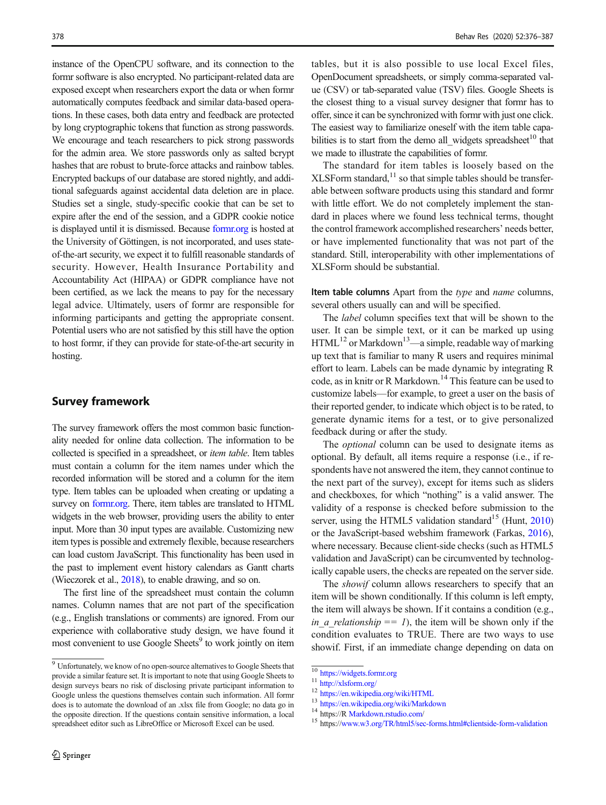instance of the OpenCPU software, and its connection to the formr software is also encrypted. No participant-related data are exposed except when researchers export the data or when formr automatically computes feedback and similar data-based operations. In these cases, both data entry and feedback are protected by long cryptographic tokens that function as strong passwords. We encourage and teach researchers to pick strong passwords for the admin area. We store passwords only as salted bcrypt hashes that are robust to brute-force attacks and rainbow tables. Encrypted backups of our database are stored nightly, and additional safeguards against accidental data deletion are in place. Studies set a single, study-specific cookie that can be set to expire after the end of the session, and a GDPR cookie notice is displayed until it is dismissed. Because [formr.org](http://formr.org) is hosted at the University of Göttingen, is not incorporated, and uses stateof-the-art security, we expect it to fulfill reasonable standards of security. However, Health Insurance Portability and Accountability Act (HIPAA) or GDPR compliance have not been certified, as we lack the means to pay for the necessary legal advice. Ultimately, users of formr are responsible for informing participants and getting the appropriate consent. Potential users who are not satisfied by this still have the option to host formr, if they can provide for state-of-the-art security in hosting.

# Survey framework

The survey framework offers the most common basic functionality needed for online data collection. The information to be collected is specified in a spreadsheet, or item table. Item tables must contain a column for the item names under which the recorded information will be stored and a column for the item type. Item tables can be uploaded when creating or updating a survey on [formr.org](http://formr.org). There, item tables are translated to HTML widgets in the web browser, providing users the ability to enter input. More than 30 input types are available. Customizing new item types is possible and extremely flexible, because researchers can load custom JavaScript. This functionality has been used in the past to implement event history calendars as Gantt charts (Wieczorek et al., [2018\)](#page-11-0), to enable drawing, and so on.

The first line of the spreadsheet must contain the column names. Column names that are not part of the specification (e.g., English translations or comments) are ignored. From our experience with collaborative study design, we have found it most convenient to use Google Sheets<sup>9</sup> to work jointly on item

tables, but it is also possible to use local Excel files, OpenDocument spreadsheets, or simply comma-separated value (CSV) or tab-separated value (TSV) files. Google Sheets is the closest thing to a visual survey designer that formr has to offer, since it can be synchronized with formr with just one click. The easiest way to familiarize oneself with the item table capabilities is to start from the demo all widgets spreadsheet<sup>10</sup> that we made to illustrate the capabilities of formr.

The standard for item tables is loosely based on the  $XLSForm standard, <sup>11</sup>$  so that simple tables should be transferable between software products using this standard and formr with little effort. We do not completely implement the standard in places where we found less technical terms, thought the control framework accomplished researchers' needs better, or have implemented functionality that was not part of the standard. Still, interoperability with other implementations of XLSForm should be substantial.

Item table columns Apart from the type and name columns, several others usually can and will be specified.

The label column specifies text that will be shown to the user. It can be simple text, or it can be marked up using  $HTML<sup>12</sup>$  or Markdown<sup>13</sup>—a simple, readable way of marking up text that is familiar to many R users and requires minimal effort to learn. Labels can be made dynamic by integrating R code, as in knitr or R Markdown.<sup>14</sup> This feature can be used to customize labels—for example, to greet a user on the basis of their reported gender, to indicate which object is to be rated, to generate dynamic items for a test, or to give personalized feedback during or after the study.

The optional column can be used to designate items as optional. By default, all items require a response (i.e., if respondents have not answered the item, they cannot continue to the next part of the survey), except for items such as sliders and checkboxes, for which "nothing" is a valid answer. The validity of a response is checked before submission to the server, using the HTML5 validation standard<sup>15</sup> (Hunt, [2010](#page-11-0)) or the JavaScript-based webshim framework (Farkas, [2016\)](#page-11-0), where necessary. Because client-side checks (such as HTML5 validation and JavaScript) can be circumvented by technologically capable users, the checks are repeated on the server side.

The *showif* column allows researchers to specify that an item will be shown conditionally. If this column is left empty, the item will always be shown. If it contains a condition (e.g., in\_a\_relationship == 1), the item will be shown only if the condition evaluates to TRUE. There are two ways to use showif. First, if an immediate change depending on data on

 $9$  Unfortunately, we know of no open-source alternatives to Google Sheets that provide a similar feature set. It is important to note that using Google Sheets to design surveys bears no risk of disclosing private participant information to Google unless the questions themselves contain such information. All formr does is to automate the download of an .xlsx file from Google; no data go in the opposite direction. If the questions contain sensitive information, a local spreadsheet editor such as LibreOffice or Microsoft Excel can be used.

 $\begin{array}{l} \hbox{10  
11  
12  
13  
14  
14  
15  
16  
17  
18  
19  
10  
10  
14  
16  
17  
18  
19  
19  
10  
10  
10  
10  
10  
10  
11  
11  
11  
12  
13  
14  
14  
15  
16  
16  
16  
17  
17  
18  
18  
19  
19  
10  
10  
10  
10  
10  
11  
11  
12  
14  
15  
1$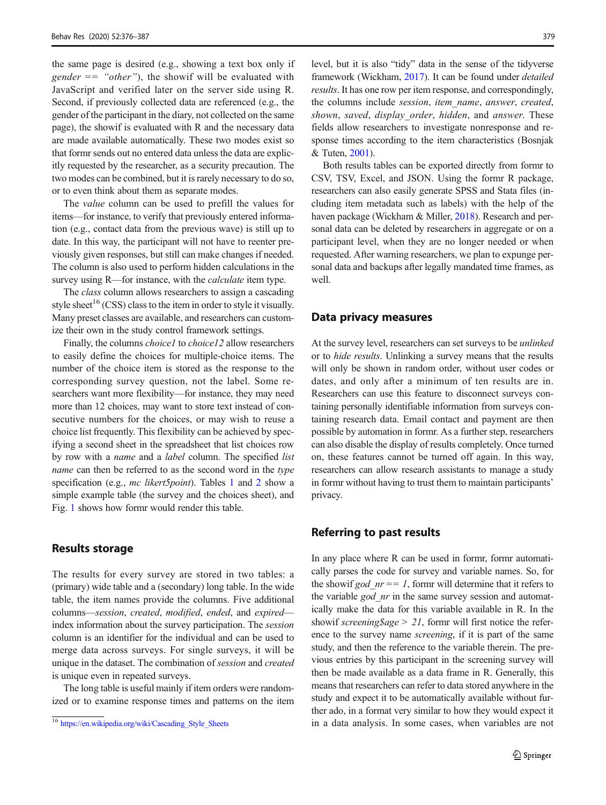the same page is desired (e.g., showing a text box only if  $gender == "other"$ , the showif will be evaluated with JavaScript and verified later on the server side using R. Second, if previously collected data are referenced (e.g., the gender of the participant in the diary, not collected on the same page), the showif is evaluated with R and the necessary data are made available automatically. These two modes exist so that formr sends out no entered data unless the data are explicitly requested by the researcher, as a security precaution. The two modes can be combined, but it is rarely necessary to do so, or to even think about them as separate modes.

The value column can be used to prefill the values for items—for instance, to verify that previously entered information (e.g., contact data from the previous wave) is still up to date. In this way, the participant will not have to reenter previously given responses, but still can make changes if needed. The column is also used to perform hidden calculations in the survey using R—for instance, with the *calculate* item type.

The class column allows researchers to assign a cascading style sheet<sup>16</sup> (CSS) class to the item in order to style it visually. Many preset classes are available, and researchers can customize their own in the study control framework settings.

Finally, the columns *choice1* to *choice12* allow researchers to easily define the choices for multiple-choice items. The number of the choice item is stored as the response to the corresponding survey question, not the label. Some researchers want more flexibility—for instance, they may need more than 12 choices, may want to store text instead of consecutive numbers for the choices, or may wish to reuse a choice list frequently. This flexibility can be achieved by specifying a second sheet in the spreadsheet that list choices row by row with a *name* and a *label* column. The specified *list* name can then be referred to as the second word in the type specification (e.g., *mc likert5point*). Tables [1](#page-4-0) and [2](#page-4-0) show a simple example table (the survey and the choices sheet), and Fig. [1](#page-5-0) shows how formr would render this table.

## Results storage

The results for every survey are stored in two tables: a (primary) wide table and a (secondary) long table. In the wide table, the item names provide the columns. Five additional columns—session, created, modified, ended, and expired index information about the survey participation. The session column is an identifier for the individual and can be used to merge data across surveys. For single surveys, it will be unique in the dataset. The combination of session and created is unique even in repeated surveys.

The long table is useful mainly if item orders were randomized or to examine response times and patterns on the item level, but it is also "tidy" data in the sense of the tidyverse framework (Wickham, [2017\)](#page-11-0). It can be found under detailed results. It has one row per item response, and correspondingly, the columns include session, item\_name, answer, created, shown, saved, display order, hidden, and answer. These fields allow researchers to investigate nonresponse and response times according to the item characteristics (Bosnjak & Tuten, [2001](#page-10-0)).

Both results tables can be exported directly from formr to CSV, TSV, Excel, and JSON. Using the formr R package, researchers can also easily generate SPSS and Stata files (including item metadata such as labels) with the help of the haven package (Wickham & Miller, [2018\)](#page-11-0). Research and personal data can be deleted by researchers in aggregate or on a participant level, when they are no longer needed or when requested. After warning researchers, we plan to expunge personal data and backups after legally mandated time frames, as well.

#### Data privacy measures

At the survey level, researchers can set surveys to be unlinked or to hide results. Unlinking a survey means that the results will only be shown in random order, without user codes or dates, and only after a minimum of ten results are in. Researchers can use this feature to disconnect surveys containing personally identifiable information from surveys containing research data. Email contact and payment are then possible by automation in formr. As a further step, researchers can also disable the display of results completely. Once turned on, these features cannot be turned off again. In this way, researchers can allow research assistants to manage a study in formr without having to trust them to maintain participants' privacy.

## Referring to past results

In any place where R can be used in formr, formr automatically parses the code for survey and variable names. So, for the showif god  $nr == 1$ , formr will determine that it refers to the variable  $\gcd$  nr in the same survey session and automatically make the data for this variable available in R. In the show if screening  $\gtrapprox 21$ , form will first notice the reference to the survey name screening, if it is part of the same study, and then the reference to the variable therein. The previous entries by this participant in the screening survey will then be made available as a data frame in R. Generally, this means that researchers can refer to data stored anywhere in the study and expect it to be automatically available without further ado, in a format very similar to how they would expect it <sup>16</sup> [https://en.wikipedia.org/wiki/Cascading\\_Style\\_Sheets](https://en.wikipedia.org/wiki/Cascading_Style_Sheets) in a data analysis. In some cases, when variables are not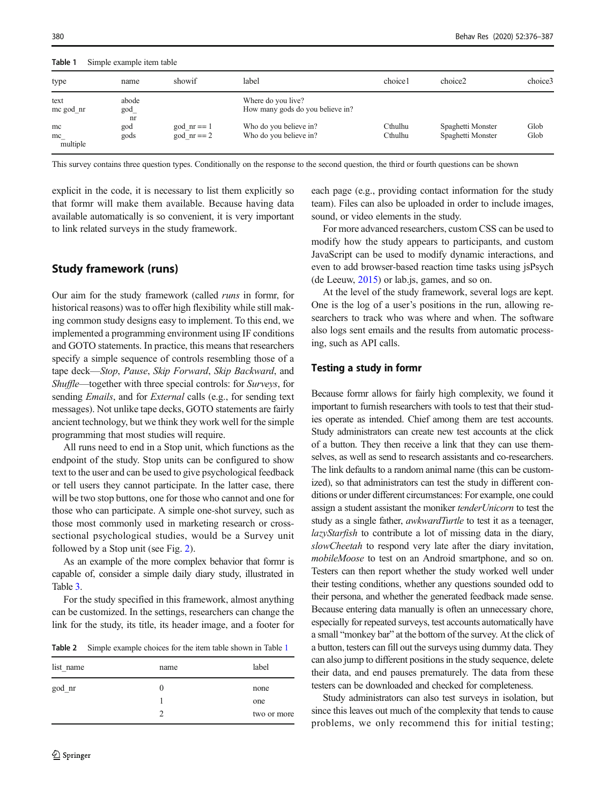<span id="page-4-0"></span>Table 1 Simple example item table

| type                 | name                            | showif                          | label                                                  | choice1            | choice2                                | choice3      |
|----------------------|---------------------------------|---------------------------------|--------------------------------------------------------|--------------------|----------------------------------------|--------------|
| text<br>me god nr    | abode<br>$\text{god}_{-}$<br>nr |                                 | Where do you live?<br>How many gods do you believe in? |                    |                                        |              |
| mc<br>mc<br>multiple | god<br>gods                     | $\gcd$ nr == 1<br>god $nr == 2$ | Who do you believe in?<br>Who do you believe in?       | Cthulhu<br>Cthulhu | Spaghetti Monster<br>Spaghetti Monster | Glob<br>Glob |

This survey contains three question types. Conditionally on the response to the second question, the third or fourth questions can be shown

explicit in the code, it is necessary to list them explicitly so that formr will make them available. Because having data available automatically is so convenient, it is very important to link related surveys in the study framework.

# Study framework (runs)

Our aim for the study framework (called runs in formr, for historical reasons) was to offer high flexibility while still making common study designs easy to implement. To this end, we implemented a programming environment using IF conditions and GOTO statements. In practice, this means that researchers specify a simple sequence of controls resembling those of a tape deck—Stop, Pause, Skip Forward, Skip Backward, and Shuffle—together with three special controls: for Surveys, for sending *Emails*, and for *External* calls (e.g., for sending text messages). Not unlike tape decks, GOTO statements are fairly ancient technology, but we think they work well for the simple programming that most studies will require.

All runs need to end in a Stop unit, which functions as the endpoint of the study. Stop units can be configured to show text to the user and can be used to give psychological feedback or tell users they cannot participate. In the latter case, there will be two stop buttons, one for those who cannot and one for those who can participate. A simple one-shot survey, such as those most commonly used in marketing research or crosssectional psychological studies, would be a Survey unit followed by a Stop unit (see Fig. [2\)](#page-5-0).

As an example of the more complex behavior that formr is capable of, consider a simple daily diary study, illustrated in Table [3.](#page-6-0)

For the study specified in this framework, almost anything can be customized. In the settings, researchers can change the link for the study, its title, its header image, and a footer for

Table 2 Simple example choices for the item table shown in Table 1

| list name | name | label       |
|-----------|------|-------------|
| god_nr    | 0    | none        |
|           |      | one         |
|           |      | two or more |

each page (e.g., providing contact information for the study team). Files can also be uploaded in order to include images, sound, or video elements in the study.

For more advanced researchers, custom CSS can be used to modify how the study appears to participants, and custom JavaScript can be used to modify dynamic interactions, and even to add browser-based reaction time tasks using jsPsych (de Leeuw, [2015\)](#page-11-0) or lab.js, games, and so on.

At the level of the study framework, several logs are kept. One is the log of a user's positions in the run, allowing researchers to track who was where and when. The software also logs sent emails and the results from automatic processing, such as API calls.

## Testing a study in formr

Because formr allows for fairly high complexity, we found it important to furnish researchers with tools to test that their studies operate as intended. Chief among them are test accounts. Study administrators can create new test accounts at the click of a button. They then receive a link that they can use themselves, as well as send to research assistants and co-researchers. The link defaults to a random animal name (this can be customized), so that administrators can test the study in different conditions or under different circumstances: For example, one could assign a student assistant the moniker tenderUnicorn to test the study as a single father, *awkwardTurtle* to test it as a teenager, lazyStarfish to contribute a lot of missing data in the diary, slowCheetah to respond very late after the diary invitation, mobileMoose to test on an Android smartphone, and so on. Testers can then report whether the study worked well under their testing conditions, whether any questions sounded odd to their persona, and whether the generated feedback made sense. Because entering data manually is often an unnecessary chore, especially for repeated surveys, test accounts automatically have a small "monkey bar" at the bottom of the survey. At the click of a button, testers can fill out the surveys using dummy data. They can also jump to different positions in the study sequence, delete their data, and end pauses prematurely. The data from these testers can be downloaded and checked for completeness.

Study administrators can also test surveys in isolation, but since this leaves out much of the complexity that tends to cause problems, we only recommend this for initial testing;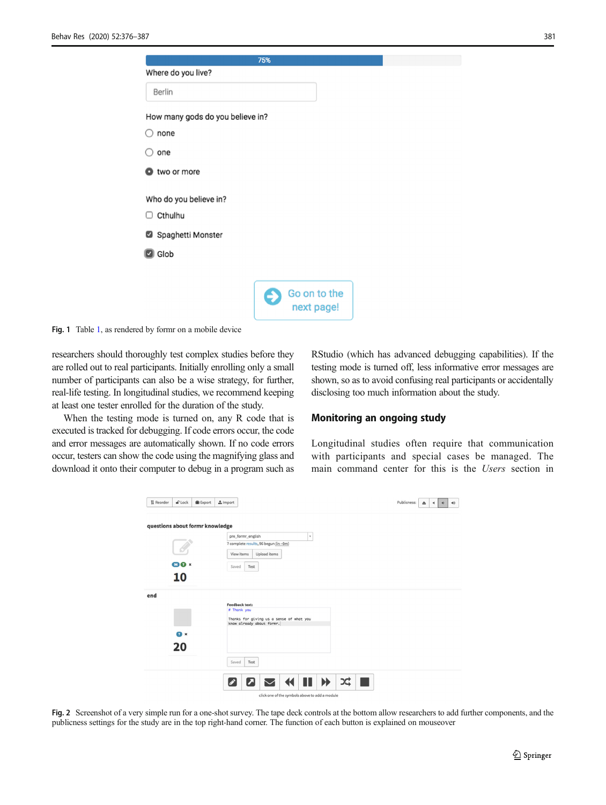| ۰,<br>$\sim$ | ×<br>۰.<br>$\sim$ |  |
|--------------|-------------------|--|
|              |                   |  |

<span id="page-5-0"></span>

|                                  | 75%                        |
|----------------------------------|----------------------------|
| Where do you live?               |                            |
| <b>Berlin</b>                    |                            |
| How many gods do you believe in? |                            |
| none                             |                            |
| $\supset$ one                    |                            |
| two or more                      |                            |
| Who do you believe in?           |                            |
| $\Box$ Cthulhu                   |                            |
| Spaghetti Monster                |                            |
| <b>B</b> Glob                    |                            |
|                                  |                            |
|                                  | Go on to the<br>next page! |

Fig. 1 Table [1,](#page-4-0) as rendered by formr on a mobile device

researchers should thoroughly test complex studies before they are rolled out to real participants. Initially enrolling only a small number of participants can also be a wise strategy, for further, real-life testing. In longitudinal studies, we recommend keeping at least one tester enrolled for the duration of the study.

When the testing mode is turned on, any R code that is executed is tracked for debugging. If code errors occur, the code and error messages are automatically shown. If no code errors occur, testers can show the code using the magnifying glass and download it onto their computer to debug in a program such as

RStudio (which has advanced debugging capabilities). If the testing mode is turned off, less informative error messages are shown, so as to avoid confusing real participants or accidentally disclosing too much information about the study.

#### Monitoring an ongoing study

Longitudinal studies often require that communication with participants and special cases be managed. The main command center for this is the Users section in

| 11 Reorder                      | $\bigcirc$ Lock        | <b>III</b> Export | $\n  Import\n$                                             |                                                |         |                       |   | Publicness: | $\triangle$ | 40<br>$\leftarrow$<br>$\blacktriangleleft$ |
|---------------------------------|------------------------|-------------------|------------------------------------------------------------|------------------------------------------------|---------|-----------------------|---|-------------|-------------|--------------------------------------------|
| questions about formr knowledge |                        |                   |                                                            |                                                |         |                       |   |             |             |                                            |
|                                 |                        |                   | pre_formr_english<br>7 complete results, 96 begun (in ~0m) |                                                | $\star$ |                       |   |             |             |                                            |
|                                 |                        |                   | View items                                                 | Upload items                                   |         |                       |   |             |             |                                            |
|                                 |                        |                   |                                                            |                                                |         |                       |   |             |             |                                            |
|                                 | $96$ $\Omega$ $\times$ |                   | Test<br>Saved                                              |                                                |         |                       |   |             |             |                                            |
|                                 | 10                     |                   |                                                            |                                                |         |                       |   |             |             |                                            |
|                                 |                        |                   |                                                            |                                                |         |                       |   |             |             |                                            |
| end                             |                        |                   |                                                            |                                                |         |                       |   |             |             |                                            |
|                                 |                        |                   | <b>Feedback text:</b><br># Thank you                       |                                                |         |                       |   |             |             |                                            |
|                                 |                        |                   | know already about formr.                                  | Thanks for giving us a sense of what you       |         |                       |   |             |             |                                            |
|                                 |                        |                   |                                                            |                                                |         |                       |   |             |             |                                            |
|                                 | $\bullet$ x            |                   |                                                            |                                                |         |                       |   |             |             |                                            |
|                                 | 20                     |                   |                                                            |                                                |         |                       |   |             |             |                                            |
|                                 |                        |                   | Test<br>Saved                                              |                                                |         |                       |   |             |             |                                            |
|                                 |                        |                   | л<br>0                                                     | $\blacktriangleleft$                           | Ш       | $\blacktriangleright$ | X |             |             |                                            |
|                                 |                        |                   |                                                            | click one of the symbols above to add a module |         |                       |   |             |             |                                            |

Fig. 2 Screenshot of a very simple run for a one-shot survey. The tape deck controls at the bottom allow researchers to add further components, and the publicness settings for the study are in the top right-hand corner. The function of each button is explained on mouseover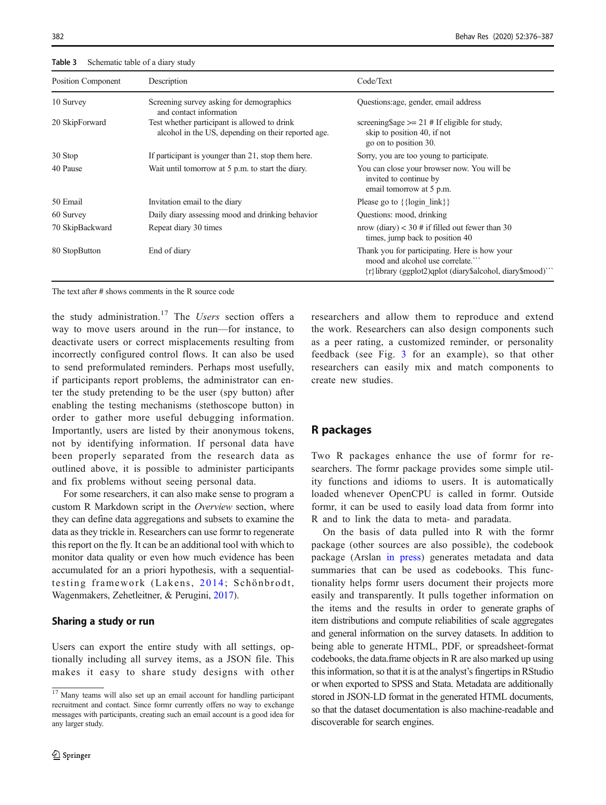<span id="page-6-0"></span>382 Behav Res (2020) 52:376–387

| Position Component | Description                                                                                         | Code/Text                                                                                                                                           |
|--------------------|-----------------------------------------------------------------------------------------------------|-----------------------------------------------------------------------------------------------------------------------------------------------------|
| 10 Survey          | Screening survey asking for demographics<br>and contact information                                 | Questions: age, gender, email address                                                                                                               |
| 20 SkipForward     | Test whether participant is allowed to drink<br>alcohol in the US, depending on their reported age. | screening\$age $>= 21$ # If eligible for study,<br>skip to position 40, if not<br>go on to position 30.                                             |
| 30 Stop            | If participant is younger than 21, stop them here.                                                  | Sorry, you are too young to participate.                                                                                                            |
| 40 Pause           | Wait until tomorrow at 5 p.m. to start the diary.                                                   | You can close your browser now. You will be<br>invited to continue by<br>email tomorrow at 5 p.m.                                                   |
| 50 Email           | Invitation email to the diary                                                                       | Please go to $\{\{\text{login link}\}\}\$                                                                                                           |
| 60 Survey          | Daily diary assessing mood and drinking behavior                                                    | Questions: mood, drinking                                                                                                                           |
| 70 SkipBackward    | Repeat diary 30 times                                                                               | nrow (diary) $<$ 30 # if filled out fewer than 30<br>times, jump back to position 40                                                                |
| 80 StopButton      | End of diary                                                                                        | Thank you for participating. Here is how your<br>mood and alcohol use correlate."<br>$\{r\}$ library (ggplot2)qplot (diary\$alcohol, diary\$mood)'' |

Table 3 Schematic table of a diary study

The text after # shows comments in the R source code

the study administration.<sup>17</sup> The Users section offers a way to move users around in the run—for instance, to deactivate users or correct misplacements resulting from incorrectly configured control flows. It can also be used to send preformulated reminders. Perhaps most usefully, if participants report problems, the administrator can enter the study pretending to be the user (spy button) after enabling the testing mechanisms (stethoscope button) in order to gather more useful debugging information. Importantly, users are listed by their anonymous tokens, not by identifying information. If personal data have been properly separated from the research data as outlined above, it is possible to administer participants and fix problems without seeing personal data.

For some researchers, it can also make sense to program a custom R Markdown script in the Overview section, where they can define data aggregations and subsets to examine the data as they trickle in. Researchers can use formr to regenerate this report on the fly. It can be an additional tool with which to monitor data quality or even how much evidence has been accumulated for an a priori hypothesis, with a sequentialtesting framework (Lakens, [2014;](#page-11-0) Schönbrodt, Wagenmakers, Zehetleitner, & Perugini, [2017\)](#page-11-0).

#### Sharing a study or run

Users can export the entire study with all settings, optionally including all survey items, as a JSON file. This makes it easy to share study designs with other researchers and allow them to reproduce and extend the work. Researchers can also design components such as a peer rating, a customized reminder, or personality feedback (see Fig. [3](#page-7-0) for an example), so that other researchers can easily mix and match components to create new studies.

## R packages

Two R packages enhance the use of formr for researchers. The formr package provides some simple utility functions and idioms to users. It is automatically loaded whenever OpenCPU is called in formr. Outside formr, it can be used to easily load data from formr into R and to link the data to meta- and paradata.

On the basis of data pulled into R with the formr package (other sources are also possible), the codebook package (Arslan [in press\)](#page-10-0) generates metadata and data summaries that can be used as codebooks. This functionality helps formr users document their projects more easily and transparently. It pulls together information on the items and the results in order to generate graphs of item distributions and compute reliabilities of scale aggregates and general information on the survey datasets. In addition to being able to generate HTML, PDF, or spreadsheet-format codebooks, the data.frame objects in R are also marked up using this information, so that it is at the analyst's fingertips in RStudio or when exported to SPSS and Stata. Metadata are additionally stored in JSON-LD format in the generated HTML documents, so that the dataset documentation is also machine-readable and discoverable for search engines.

 $17$  Many teams will also set up an email account for handling participant recruitment and contact. Since formr currently offers no way to exchange messages with participants, creating such an email account is a good idea for any larger study.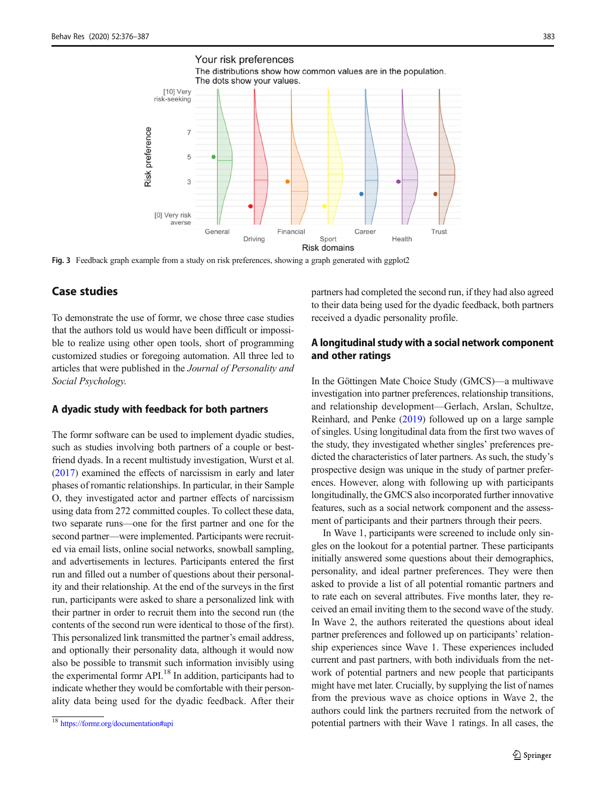<span id="page-7-0"></span>

Fig. 3 Feedback graph example from a study on risk preferences, showing a graph generated with ggplot2

# Case studies

To demonstrate the use of formr, we chose three case studies that the authors told us would have been difficult or impossible to realize using other open tools, short of programming customized studies or foregoing automation. All three led to articles that were published in the Journal of Personality and Social Psychology.

### A dyadic study with feedback for both partners

The formr software can be used to implement dyadic studies, such as studies involving both partners of a couple or bestfriend dyads. In a recent multistudy investigation, Wurst et al. [\(2017\)](#page-11-0) examined the effects of narcissism in early and later phases of romantic relationships. In particular, in their Sample O, they investigated actor and partner effects of narcissism using data from 272 committed couples. To collect these data, two separate runs—one for the first partner and one for the second partner—were implemented. Participants were recruited via email lists, online social networks, snowball sampling, and advertisements in lectures. Participants entered the first run and filled out a number of questions about their personality and their relationship. At the end of the surveys in the first run, participants were asked to share a personalized link with their partner in order to recruit them into the second run (the contents of the second run were identical to those of the first). This personalized link transmitted the partner's email address, and optionally their personality data, although it would now also be possible to transmit such information invisibly using the experimental formr API.<sup>18</sup> In addition, participants had to indicate whether they would be comfortable with their personality data being used for the dyadic feedback. After their partners had completed the second run, if they had also agreed to their data being used for the dyadic feedback, both partners received a dyadic personality profile.

# A longitudinal study with a social network component and other ratings

In the Göttingen Mate Choice Study (GMCS)—a multiwave investigation into partner preferences, relationship transitions, and relationship development—Gerlach, Arslan, Schultze, Reinhard, and Penke ([2019](#page-11-0)) followed up on a large sample of singles. Using longitudinal data from the first two waves of the study, they investigated whether singles' preferences predicted the characteristics of later partners. As such, the study's prospective design was unique in the study of partner preferences. However, along with following up with participants longitudinally, the GMCS also incorporated further innovative features, such as a social network component and the assessment of participants and their partners through their peers.

In Wave 1, participants were screened to include only singles on the lookout for a potential partner. These participants initially answered some questions about their demographics, personality, and ideal partner preferences. They were then asked to provide a list of all potential romantic partners and to rate each on several attributes. Five months later, they received an email inviting them to the second wave of the study. In Wave 2, the authors reiterated the questions about ideal partner preferences and followed up on participants' relationship experiences since Wave 1. These experiences included current and past partners, with both individuals from the network of potential partners and new people that participants might have met later. Crucially, by supplying the list of names from the previous wave as choice options in Wave 2, the authors could link the partners recruited from the network of <sup>18</sup> <https://formr.org/documentation#api> potential partners with their Wave 1 ratings. In all cases, the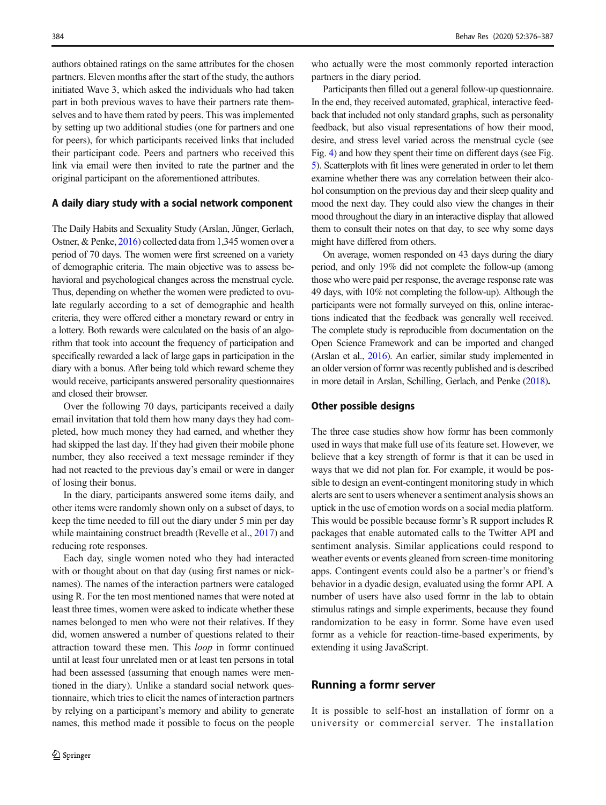authors obtained ratings on the same attributes for the chosen partners. Eleven months after the start of the study, the authors initiated Wave 3, which asked the individuals who had taken part in both previous waves to have their partners rate themselves and to have them rated by peers. This was implemented by setting up two additional studies (one for partners and one for peers), for which participants received links that included their participant code. Peers and partners who received this link via email were then invited to rate the partner and the original participant on the aforementioned attributes.

#### A daily diary study with a social network component

The Daily Habits and Sexuality Study (Arslan, Jünger, Gerlach, Ostner, & Penke, [2016](#page-10-0)) collected data from 1,345 women over a period of 70 days. The women were first screened on a variety of demographic criteria. The main objective was to assess behavioral and psychological changes across the menstrual cycle. Thus, depending on whether the women were predicted to ovulate regularly according to a set of demographic and health criteria, they were offered either a monetary reward or entry in a lottery. Both rewards were calculated on the basis of an algorithm that took into account the frequency of participation and specifically rewarded a lack of large gaps in participation in the diary with a bonus. After being told which reward scheme they would receive, participants answered personality questionnaires and closed their browser.

Over the following 70 days, participants received a daily email invitation that told them how many days they had completed, how much money they had earned, and whether they had skipped the last day. If they had given their mobile phone number, they also received a text message reminder if they had not reacted to the previous day's email or were in danger of losing their bonus.

In the diary, participants answered some items daily, and other items were randomly shown only on a subset of days, to keep the time needed to fill out the diary under 5 min per day while maintaining construct breadth (Revelle et al., [2017\)](#page-11-0) and reducing rote responses.

Each day, single women noted who they had interacted with or thought about on that day (using first names or nicknames). The names of the interaction partners were cataloged using R. For the ten most mentioned names that were noted at least three times, women were asked to indicate whether these names belonged to men who were not their relatives. If they did, women answered a number of questions related to their attraction toward these men. This loop in formr continued until at least four unrelated men or at least ten persons in total had been assessed (assuming that enough names were mentioned in the diary). Unlike a standard social network questionnaire, which tries to elicit the names of interaction partners by relying on a participant's memory and ability to generate names, this method made it possible to focus on the people who actually were the most commonly reported interaction partners in the diary period.

Participants then filled out a general follow-up questionnaire. In the end, they received automated, graphical, interactive feedback that included not only standard graphs, such as personality feedback, but also visual representations of how their mood, desire, and stress level varied across the menstrual cycle (see Fig. [4](#page-9-0)) and how they spent their time on different days (see Fig. [5\)](#page-9-0). Scatterplots with fit lines were generated in order to let them examine whether there was any correlation between their alcohol consumption on the previous day and their sleep quality and mood the next day. They could also view the changes in their mood throughout the diary in an interactive display that allowed them to consult their notes on that day, to see why some days might have differed from others.

On average, women responded on 43 days during the diary period, and only 19% did not complete the follow-up (among those who were paid per response, the average response rate was 49 days, with 10% not completing the follow-up). Although the participants were not formally surveyed on this, online interactions indicated that the feedback was generally well received. The complete study is reproducible from documentation on the Open Science Framework and can be imported and changed (Arslan et al., [2016](#page-10-0)). An earlier, similar study implemented in an older version of formr was recently published and is described in more detail in Arslan, Schilling, Gerlach, and Penke [\(2018\)](#page-10-0).

#### Other possible designs

The three case studies show how formr has been commonly used in ways that make full use of its feature set. However, we believe that a key strength of formr is that it can be used in ways that we did not plan for. For example, it would be possible to design an event-contingent monitoring study in which alerts are sent to users whenever a sentiment analysis shows an uptick in the use of emotion words on a social media platform. This would be possible because formr's R support includes R packages that enable automated calls to the Twitter API and sentiment analysis. Similar applications could respond to weather events or events gleaned from screen-time monitoring apps. Contingent events could also be a partner's or friend's behavior in a dyadic design, evaluated using the formr API. A number of users have also used formr in the lab to obtain stimulus ratings and simple experiments, because they found randomization to be easy in formr. Some have even used formr as a vehicle for reaction-time-based experiments, by extending it using JavaScript.

# Running a formr server

It is possible to self-host an installation of formr on a university or commercial server. The installation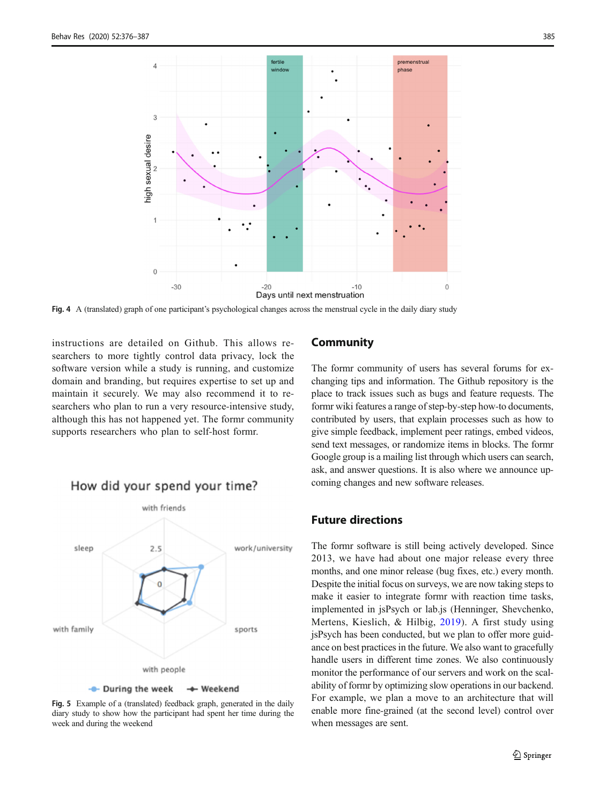<span id="page-9-0"></span>

Fig. 4 A (translated) graph of one participant's psychological changes across the menstrual cycle in the daily diary study

instructions are detailed on Github. This allows researchers to more tightly control data privacy, lock the software version while a study is running, and customize domain and branding, but requires expertise to set up and maintain it securely. We may also recommend it to researchers who plan to run a very resource-intensive study, although this has not happened yet. The formr community supports researchers who plan to self-host formr.



Fig. 5 Example of a (translated) feedback graph, generated in the daily diary study to show how the participant had spent her time during the week and during the weekend

## **Community**

The formr community of users has several forums for exchanging tips and information. The Github repository is the place to track issues such as bugs and feature requests. The formr wiki features a range of step-by-step how-to documents, contributed by users, that explain processes such as how to give simple feedback, implement peer ratings, embed videos, send text messages, or randomize items in blocks. The formr Google group is a mailing list through which users can search, ask, and answer questions. It is also where we announce upcoming changes and new software releases.

# Future directions

The formr software is still being actively developed. Since 2013, we have had about one major release every three months, and one minor release (bug fixes, etc.) every month. Despite the initial focus on surveys, we are now taking steps to make it easier to integrate formr with reaction time tasks, implemented in jsPsych or lab.js (Henninger, Shevchenko, Mertens, Kieslich, & Hilbig, [2019](#page-11-0)). A first study using jsPsych has been conducted, but we plan to offer more guidance on best practices in the future. We also want to gracefully handle users in different time zones. We also continuously monitor the performance of our servers and work on the scalability of formr by optimizing slow operations in our backend. For example, we plan a move to an architecture that will enable more fine-grained (at the second level) control over when messages are sent.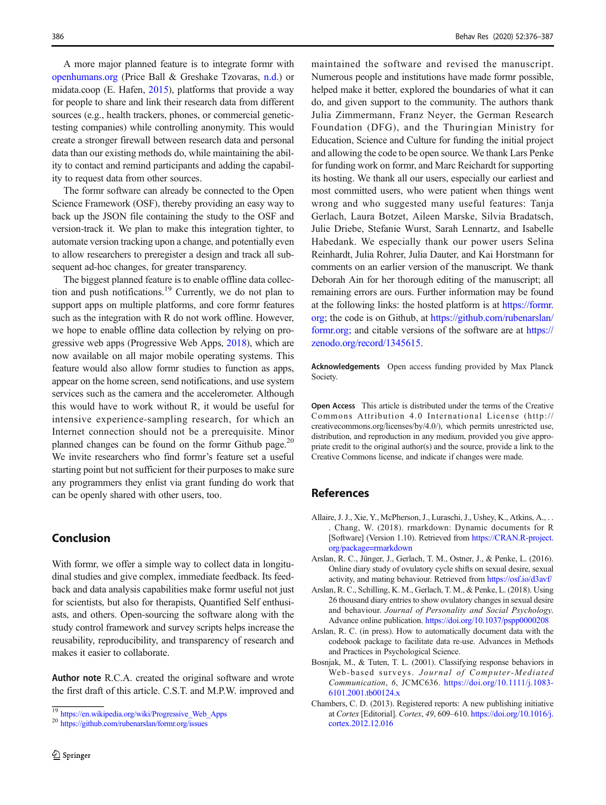<span id="page-10-0"></span>A more major planned feature is to integrate formr with [openhumans.org](http://openhumans.org) (Price Ball & Greshake Tzovaras, [n.d.](#page-11-0)) or midata.coop (E. Hafen, [2015\)](#page-11-0), platforms that provide a way for people to share and link their research data from different sources (e.g., health trackers, phones, or commercial genetictesting companies) while controlling anonymity. This would create a stronger firewall between research data and personal data than our existing methods do, while maintaining the ability to contact and remind participants and adding the capability to request data from other sources.

The formr software can already be connected to the Open Science Framework (OSF), thereby providing an easy way to back up the JSON file containing the study to the OSF and version-track it. We plan to make this integration tighter, to automate version tracking upon a change, and potentially even to allow researchers to preregister a design and track all subsequent ad-hoc changes, for greater transparency.

The biggest planned feature is to enable offline data collection and push notifications.<sup>19</sup> Currently, we do not plan to support apps on multiple platforms, and core formr features such as the integration with R do not work offline. However, we hope to enable offline data collection by relying on progressive web apps (Progressive Web Apps, [2018](#page-11-0)), which are now available on all major mobile operating systems. This feature would also allow formr studies to function as apps, appear on the home screen, send notifications, and use system services such as the camera and the accelerometer. Although this would have to work without R, it would be useful for intensive experience-sampling research, for which an Internet connection should not be a prerequisite. Minor planned changes can be found on the formr Github page.<sup>20</sup> We invite researchers who find formr's feature set a useful starting point but not sufficient for their purposes to make sure any programmers they enlist via grant funding do work that can be openly shared with other users, too.

# Conclusion

With formr, we offer a simple way to collect data in longitudinal studies and give complex, immediate feedback. Its feedback and data analysis capabilities make formr useful not just for scientists, but also for therapists, Quantified Self enthusiasts, and others. Open-sourcing the software along with the study control framework and survey scripts helps increase the reusability, reproducibility, and transparency of research and makes it easier to collaborate.

Author note R.C.A. created the original software and wrote the first draft of this article. C.S.T. and M.P.W. improved and

maintained the software and revised the manuscript. Numerous people and institutions have made formr possible, helped make it better, explored the boundaries of what it can do, and given support to the community. The authors thank Julia Zimmermann, Franz Neyer, the German Research Foundation (DFG), and the Thuringian Ministry for Education, Science and Culture for funding the initial project and allowing the code to be open source. We thank Lars Penke for funding work on formr, and Marc Reichardt for supporting its hosting. We thank all our users, especially our earliest and most committed users, who were patient when things went wrong and who suggested many useful features: Tanja Gerlach, Laura Botzet, Aileen Marske, Silvia Bradatsch, Julie Driebe, Stefanie Wurst, Sarah Lennartz, and Isabelle Habedank. We especially thank our power users Selina Reinhardt, Julia Rohrer, Julia Dauter, and Kai Horstmann for comments on an earlier version of the manuscript. We thank Deborah Ain for her thorough editing of the manuscript; all remaining errors are ours. Further information may be found at the following links: the hosted platform is at [https://formr.](https://formr.org) [org;](https://formr.org) the code is on Github, at [https://github.com/rubenarslan/](https://github.com/rubenarslan/formr.org;) [formr.org;](https://github.com/rubenarslan/formr.org;) and citable versions of the software are at [https://](https://zenodo.org/record/1345615) [zenodo.org/record/1345615](https://zenodo.org/record/1345615).

Acknowledgements Open access funding provided by Max Planck Society.

Open Access This article is distributed under the terms of the Creative Commons Attribution 4.0 International License (http:// creativecommons.org/licenses/by/4.0/), which permits unrestricted use, distribution, and reproduction in any medium, provided you give appropriate credit to the original author(s) and the source, provide a link to the Creative Commons license, and indicate if changes were made.

## References

- Allaire, J. J., Xie, Y., McPherson, J., Luraschi, J., Ushey, K., Atkins, A., . . . Chang, W. (2018). rmarkdown: Dynamic documents for R [Software] (Version 1.10). Retrieved from [https://CRAN.R-project.](https://cran.r-project.org/package=rmarkdown) [org/package=rmarkdown](https://cran.r-project.org/package=rmarkdown)
- Arslan, R. C., Jünger, J., Gerlach, T. M., Ostner, J., & Penke, L. (2016). Online diary study of ovulatory cycle shifts on sexual desire, sexual activity, and mating behaviour. Retrieved from <https://osf.io/d3avf/>
- Arslan, R. C., Schilling, K. M., Gerlach, T. M., & Penke, L. (2018). Using 26 thousand diary entries to show ovulatory changes in sexual desire and behaviour. Journal of Personality and Social Psychology. Advance online publication. <https://doi.org/10.1037/pspp0000208>
- Arslan, R. C. (in press). How to automatically document data with the codebook package to facilitate data re-use. Advances in Methods and Practices in Psychological Science.
- Bosnjak, M., & Tuten, T. L. (2001). Classifying response behaviors in Web-based surveys. Journal of Computer-Mediated Communication, 6, JCMC636. [https://doi.org/10.1111/j.1083-](https://doi.org/10.1111/j.1083-6101.2001.tb00124.x) [6101.2001.tb00124.x](https://doi.org/10.1111/j.1083-6101.2001.tb00124.x)
- Chambers, C. D. (2013). Registered reports: A new publishing initiative at Cortex [Editorial]. Cortex, 49, 609–610. [https://doi.org/10.1016/j.](https://doi.org/10.1016/j.cortex.2012.12.016) [cortex.2012.12.016](https://doi.org/10.1016/j.cortex.2012.12.016)

<sup>&</sup>lt;sup>19</sup> [https://en.wikipedia.org/wiki/Progressive\\_Web\\_Apps](https://en.wikipedia.org/wiki/Progressive_Web_Apps)<br><sup>20</sup> <https://github.com/rubenarslan/formr.org/issues>